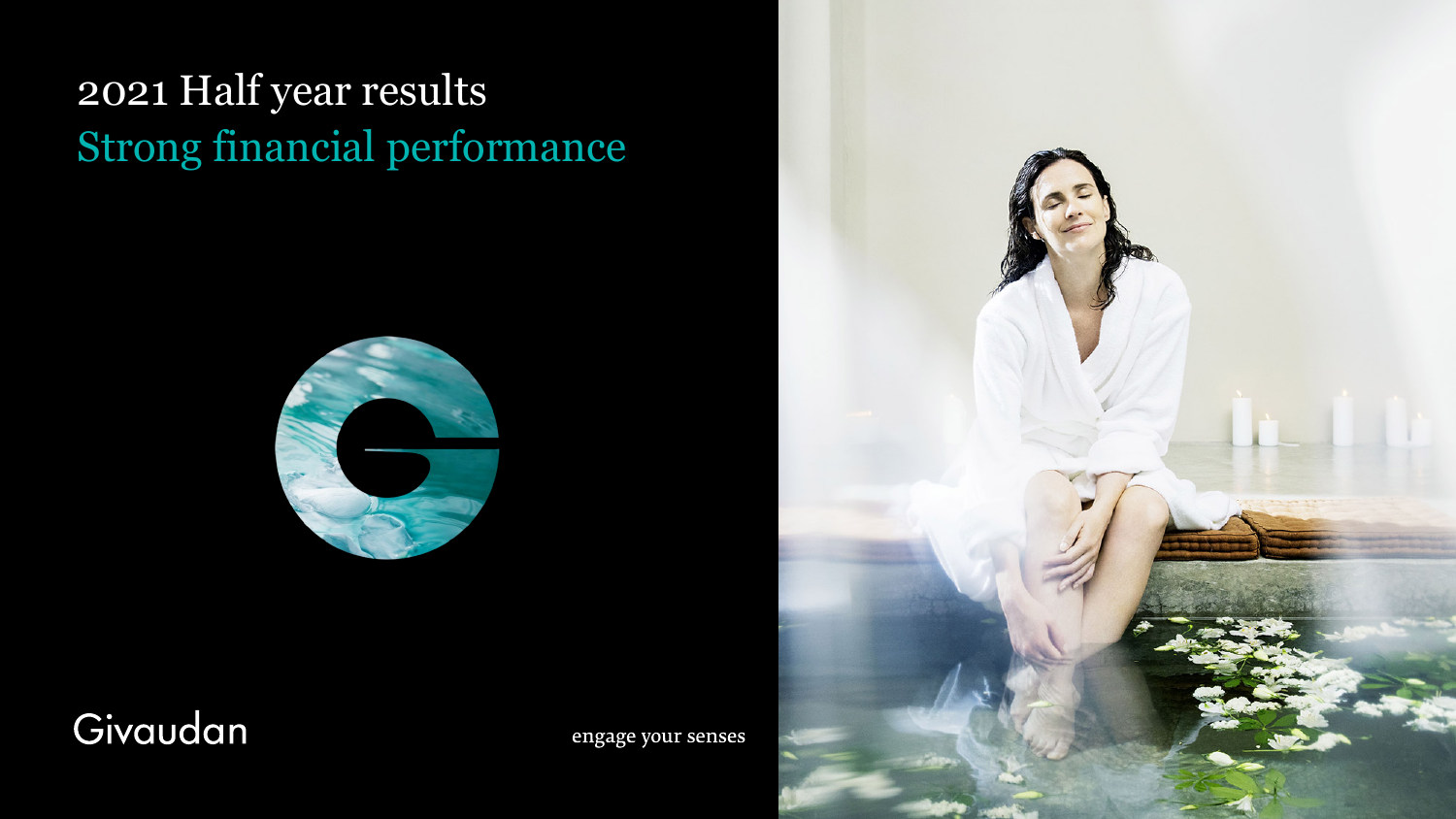## 2021 Half year results Strong financial performance



### Givaudan

engage your senses

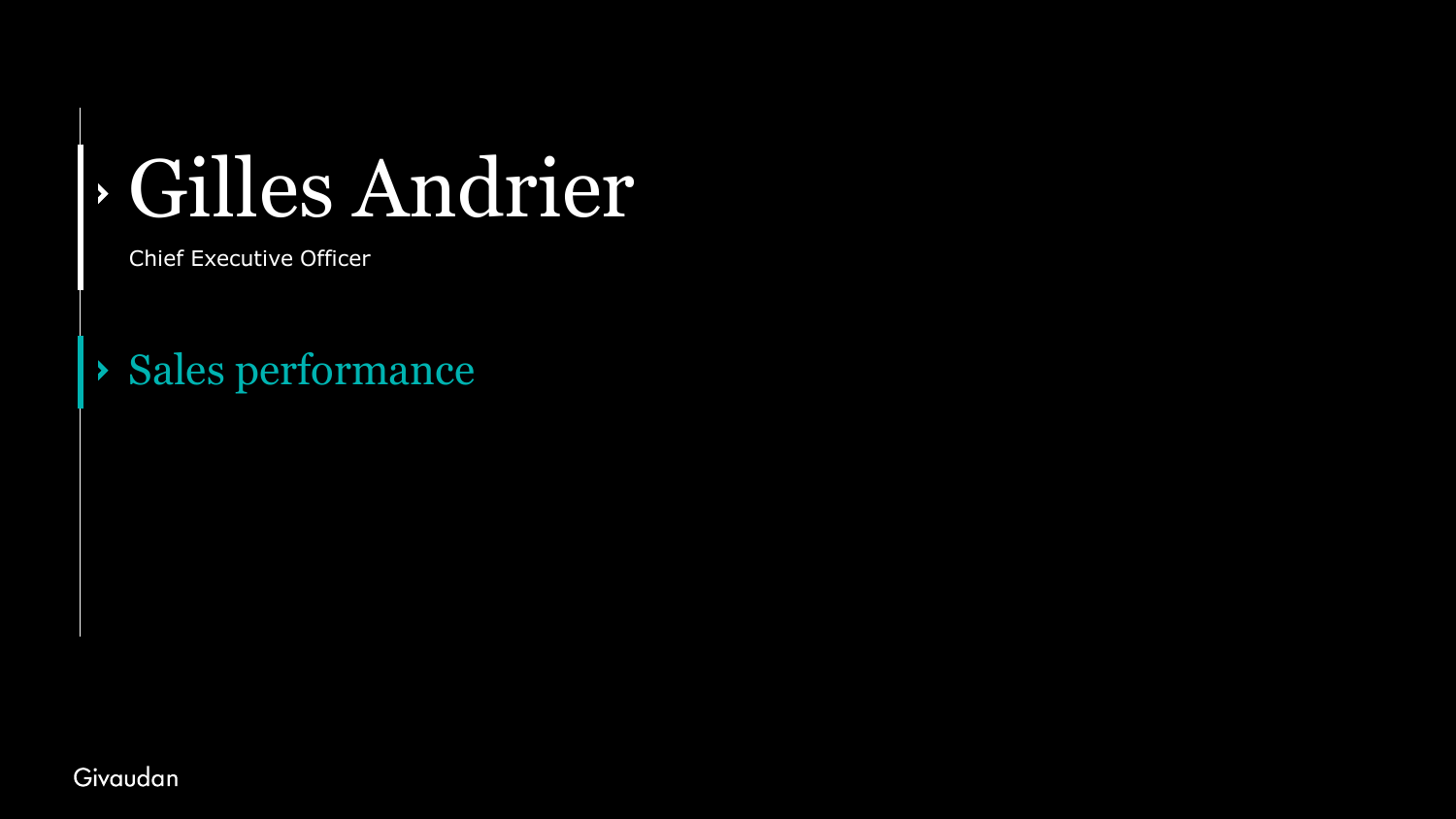# Gilles Andrier

Chief Executive Officer

Sales performance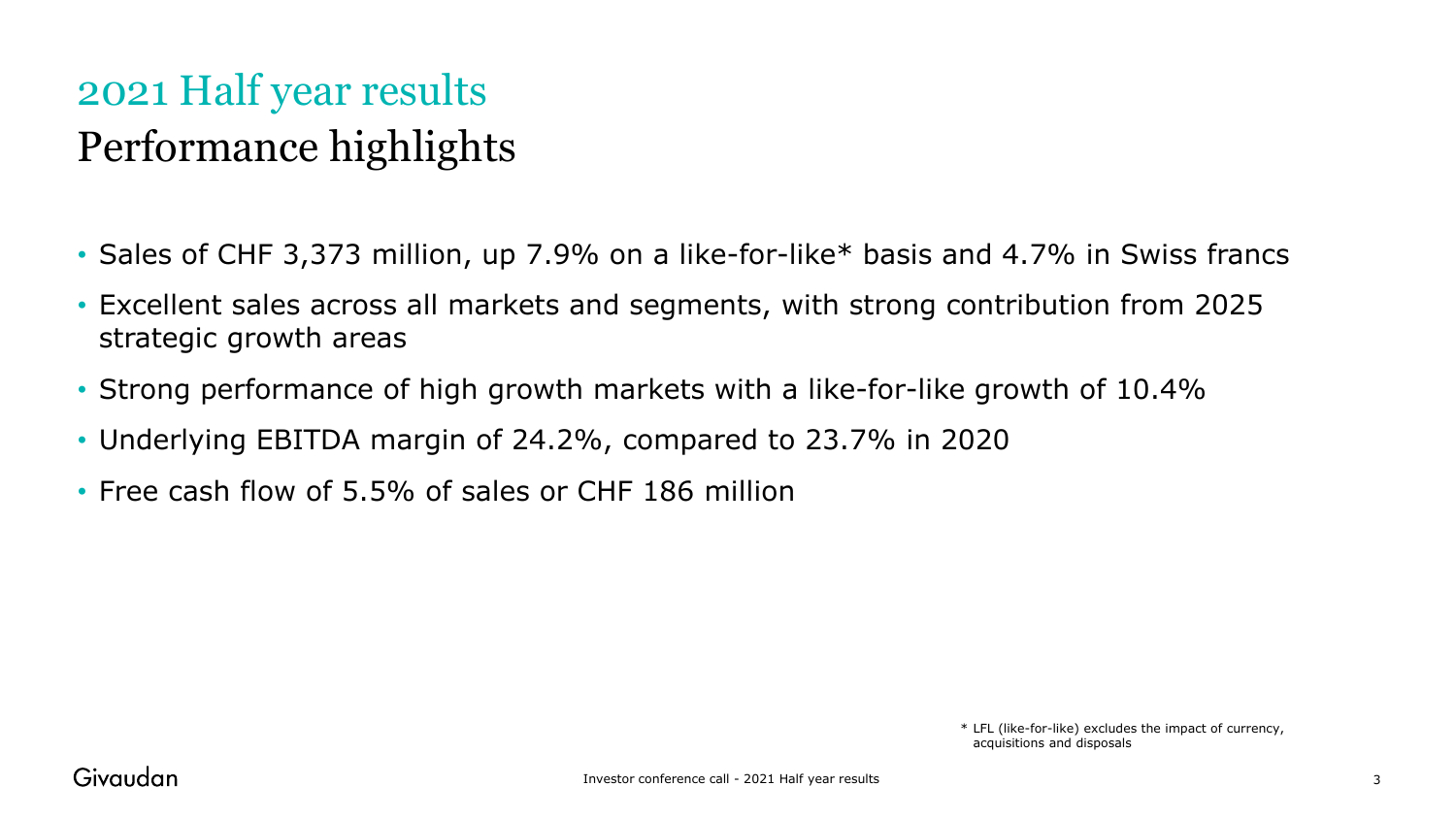### 2021 Half year results Performance highlights

- Sales of CHF 3,373 million, up 7.9% on a like-for-like\* basis and 4.7% in Swiss francs
- Excellent sales across all markets and segments, with strong contribution from 2025 strategic growth areas
- Strong performance of high growth markets with a like-for-like growth of 10.4%
- Underlying EBITDA margin of 24.2%, compared to 23.7% in 2020
- Free cash flow of 5.5% of sales or CHF 186 million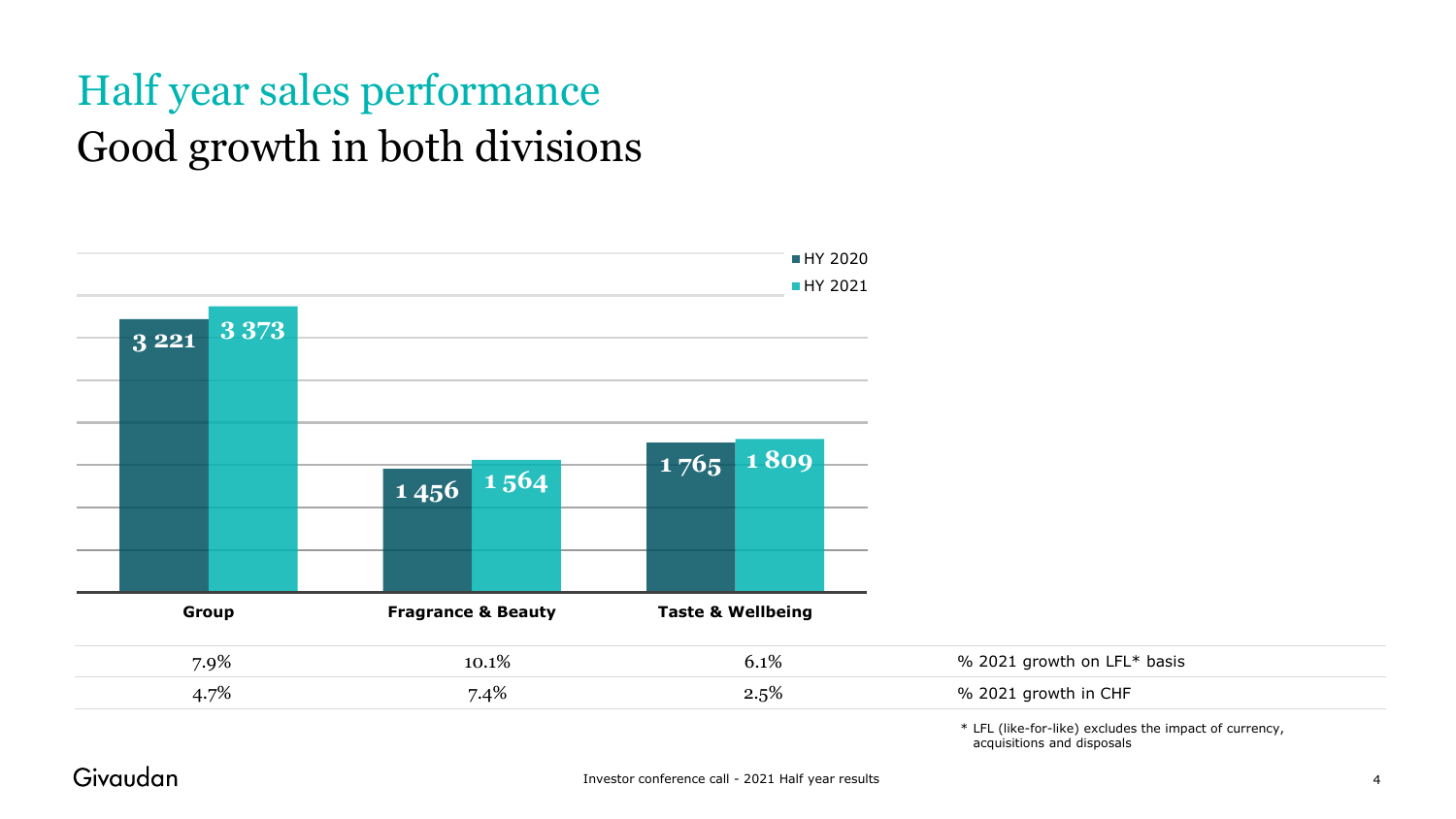### Half year sales performance Good growth in both divisions

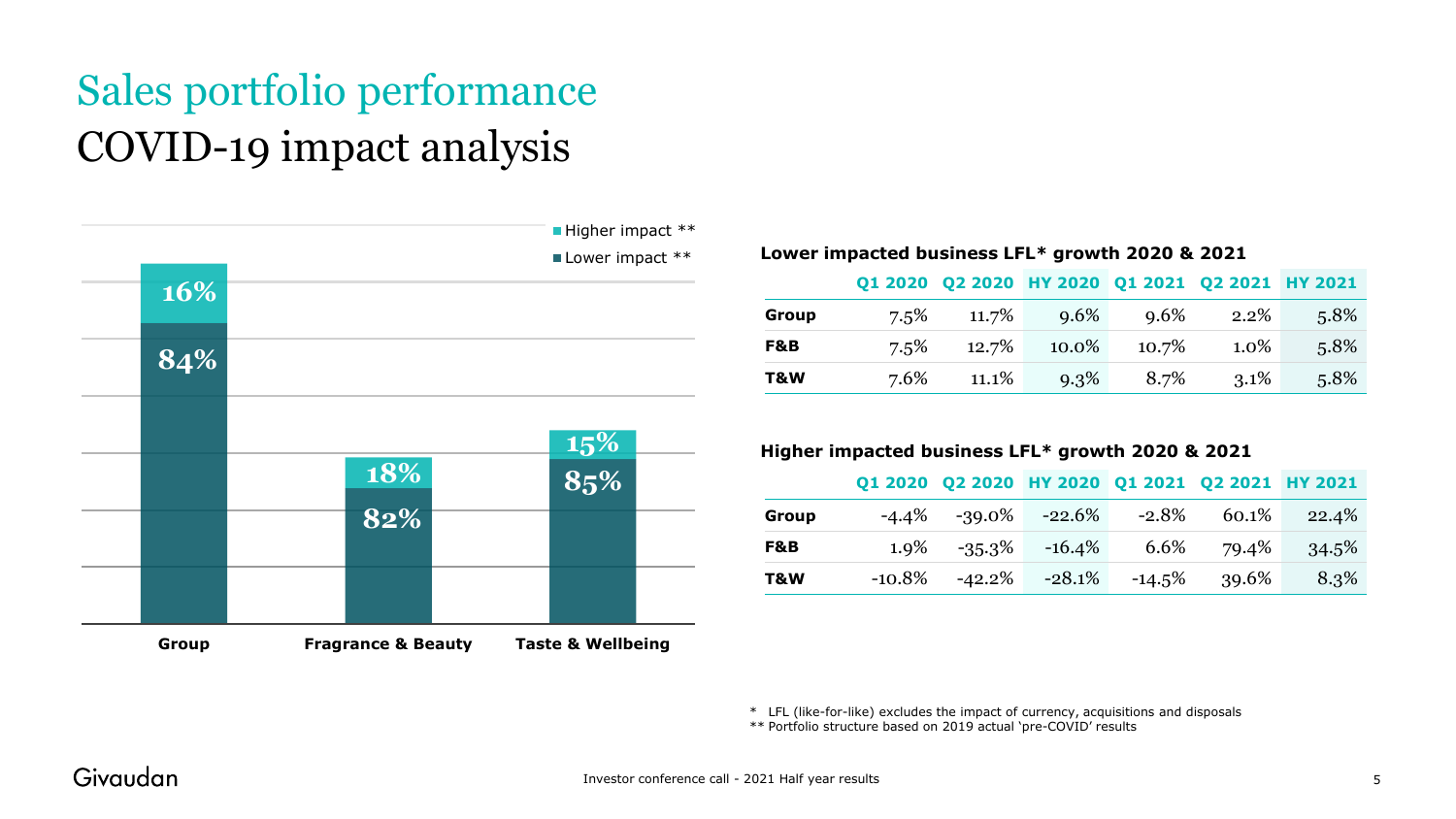### Sales portfolio performance COVID-19 impact analysis



#### **Lower impacted business LFL\* growth 2020 & 2021**

|       |         |       |       |       | Q1 2020 Q2 2020 HY 2020 Q1 2021 Q2 2021 HY 2021 |      |
|-------|---------|-------|-------|-------|-------------------------------------------------|------|
| Group | $7.5\%$ | 11.7% | 9.6%  | 9.6%  | $2.2\%$                                         | 5.8% |
| F&B   | $7.5\%$ | 12.7% | 10.0% | 10.7% | $1.0\%$                                         | 5.8% |
| T&W   | 7.6%    | 11.1% | 9.3%  | 8.7%  | $3.1\%$                                         | 5.8% |

#### **Higher impacted business LFL\* growth 2020 & 2021**

|       |  | Q1 2020 Q2 2020 HY 2020 Q1 2021 Q2 2021 HY 2021 |        |       |       |
|-------|--|-------------------------------------------------|--------|-------|-------|
| Group |  | $-4.4\%$ $-39.0\%$ $-22.6\%$                    | -2.8%  | 60.1% | 22.4% |
| F&B   |  | $1.9\%$ $-35.3\%$ $-16.4\%$                     | 6.6%   | 79.4% | 34.5% |
| T&W   |  | $-10.8\%$ $-42.2\%$ $-28.1\%$                   | -14.5% | 39.6% | 8.3%  |

\* LFL (like-for-like) excludes the impact of currency, acquisitions and disposals

\*\* Portfolio structure based on 2019 actual 'pre-COVID' results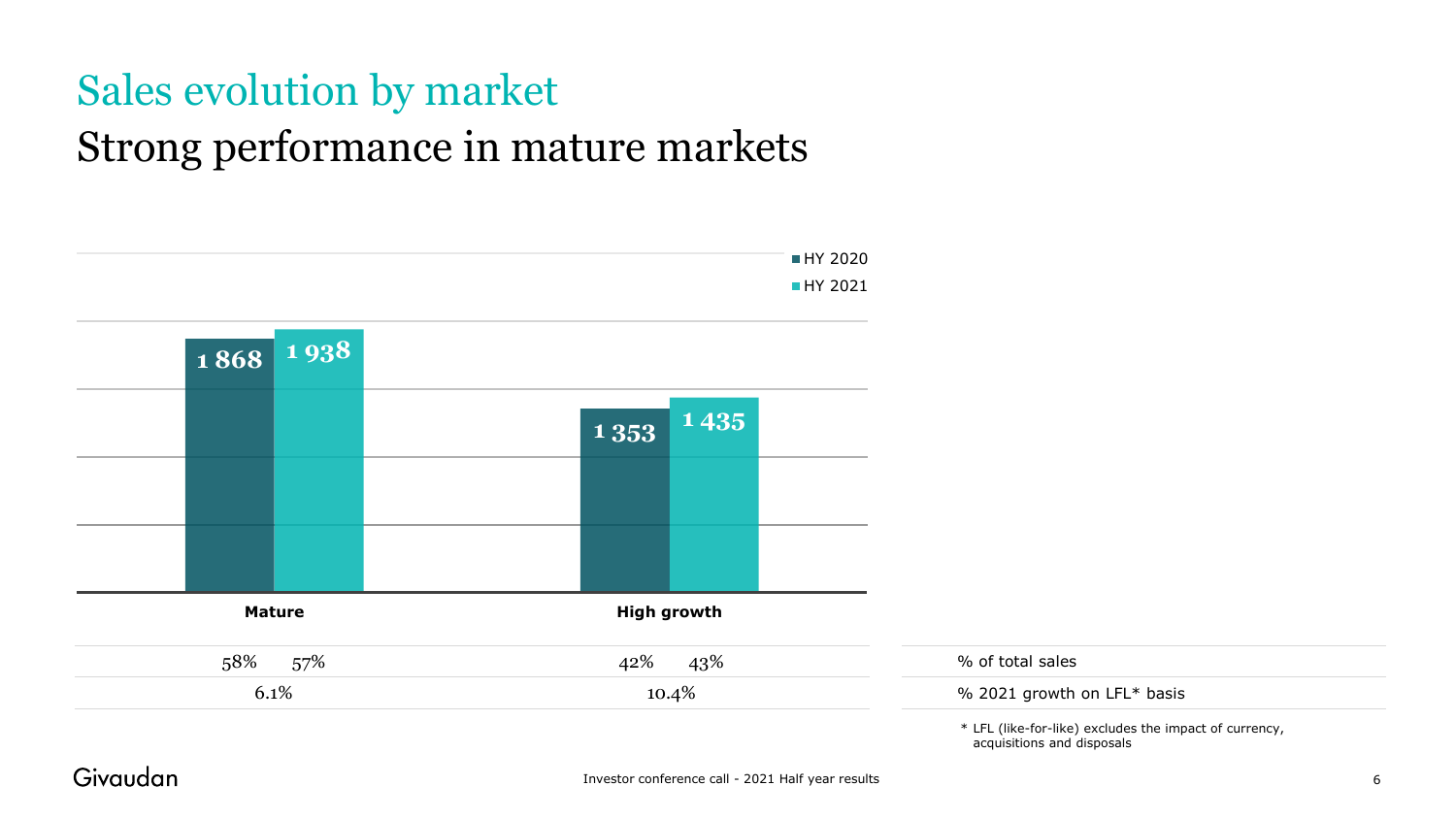### Sales evolution by market Strong performance in mature markets

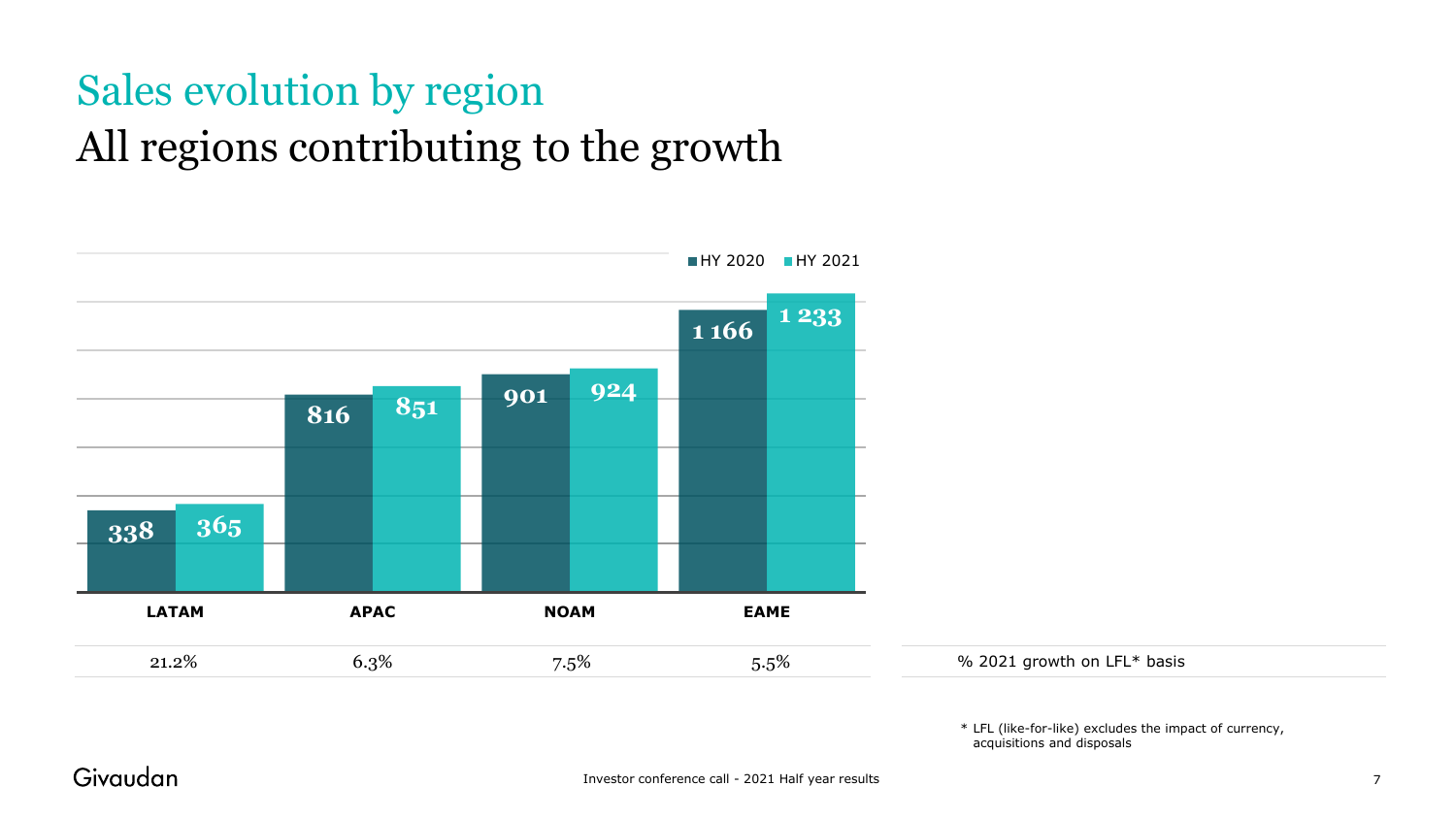## Sales evolution by region All regions contributing to the growth

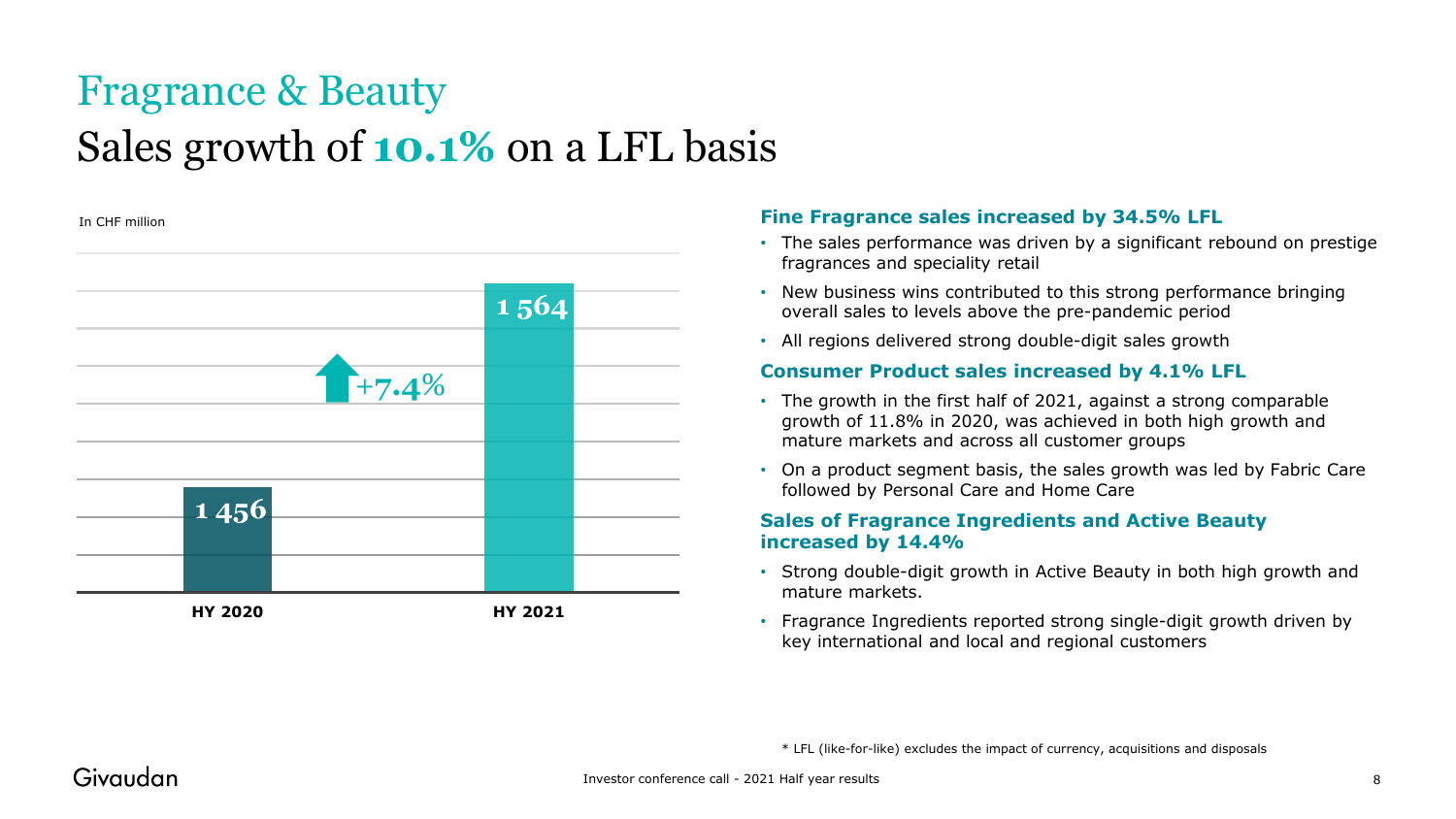### Fragrance & Beauty Sales growth of **10.1%** on a LFL basis



#### In CHF million **Fine Fragrance sales increased by 34.5% LFL**

- The sales performance was driven by a significant rebound on prestige fragrances and speciality retail
- New business wins contributed to this strong performance bringing overall sales to levels above the pre-pandemic period
- All regions delivered strong double-digit sales growth

#### **Consumer Product sales increased by 4.1% LFL**

- The growth in the first half of 2021, against a strong comparable growth of 11.8% in 2020, was achieved in both high growth and mature markets and across all customer groups
- On a product segment basis, the sales growth was led by Fabric Care followed by Personal Care and Home Care

#### **Sales of Fragrance Ingredients and Active Beauty increased by 14.4%**

- Strong double-digit growth in Active Beauty in both high growth and mature markets.
- Fragrance Ingredients reported strong single-digit growth driven by key international and local and regional customers

\* LFL (like-for-like) excludes the impact of currency, acquisitions and disposals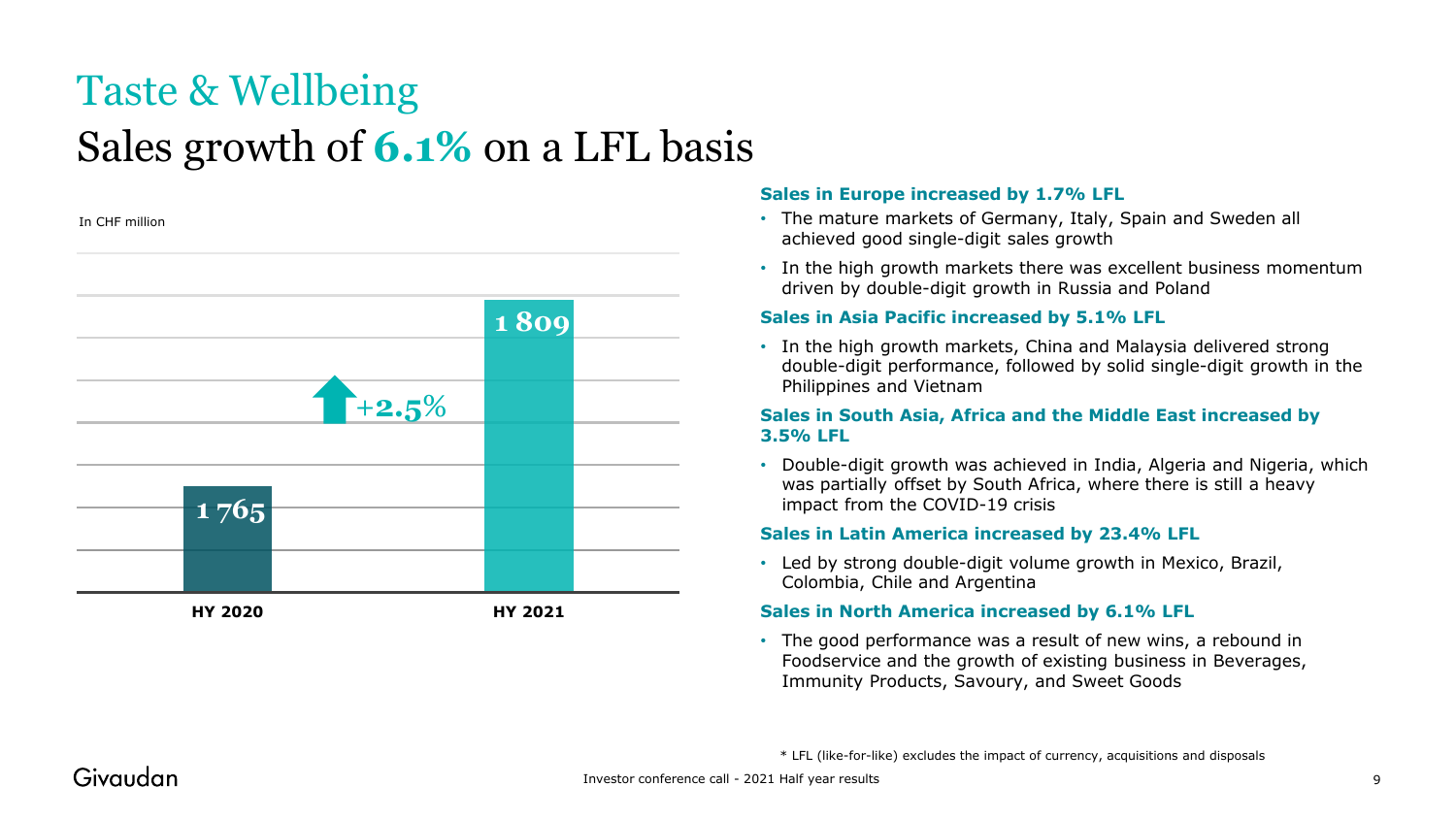## Taste & Wellbeing Sales growth of **6.1%** on a LFL basis

In CHF million



#### **Sales in Europe increased by 1.7% LFL**

- The mature markets of Germany, Italy, Spain and Sweden all achieved good single-digit sales growth
- In the high growth markets there was excellent business momentum driven by double-digit growth in Russia and Poland

#### **Sales in Asia Pacific increased by 5.1% LFL**

• In the high growth markets, China and Malaysia delivered strong double-digit performance, followed by solid single-digit growth in the Philippines and Vietnam

#### **Sales in South Asia, Africa and the Middle East increased by 3.5% LFL**

• Double-digit growth was achieved in India, Algeria and Nigeria, which was partially offset by South Africa, where there is still a heavy impact from the COVID-19 crisis

#### **Sales in Latin America increased by 23.4% LFL**

• Led by strong double-digit volume growth in Mexico, Brazil, Colombia, Chile and Argentina

#### **Sales in North America increased by 6.1% LFL**

• The good performance was a result of new wins, a rebound in Foodservice and the growth of existing business in Beverages, Immunity Products, Savoury, and Sweet Goods

\* LFL (like-for-like) excludes the impact of currency, acquisitions and disposals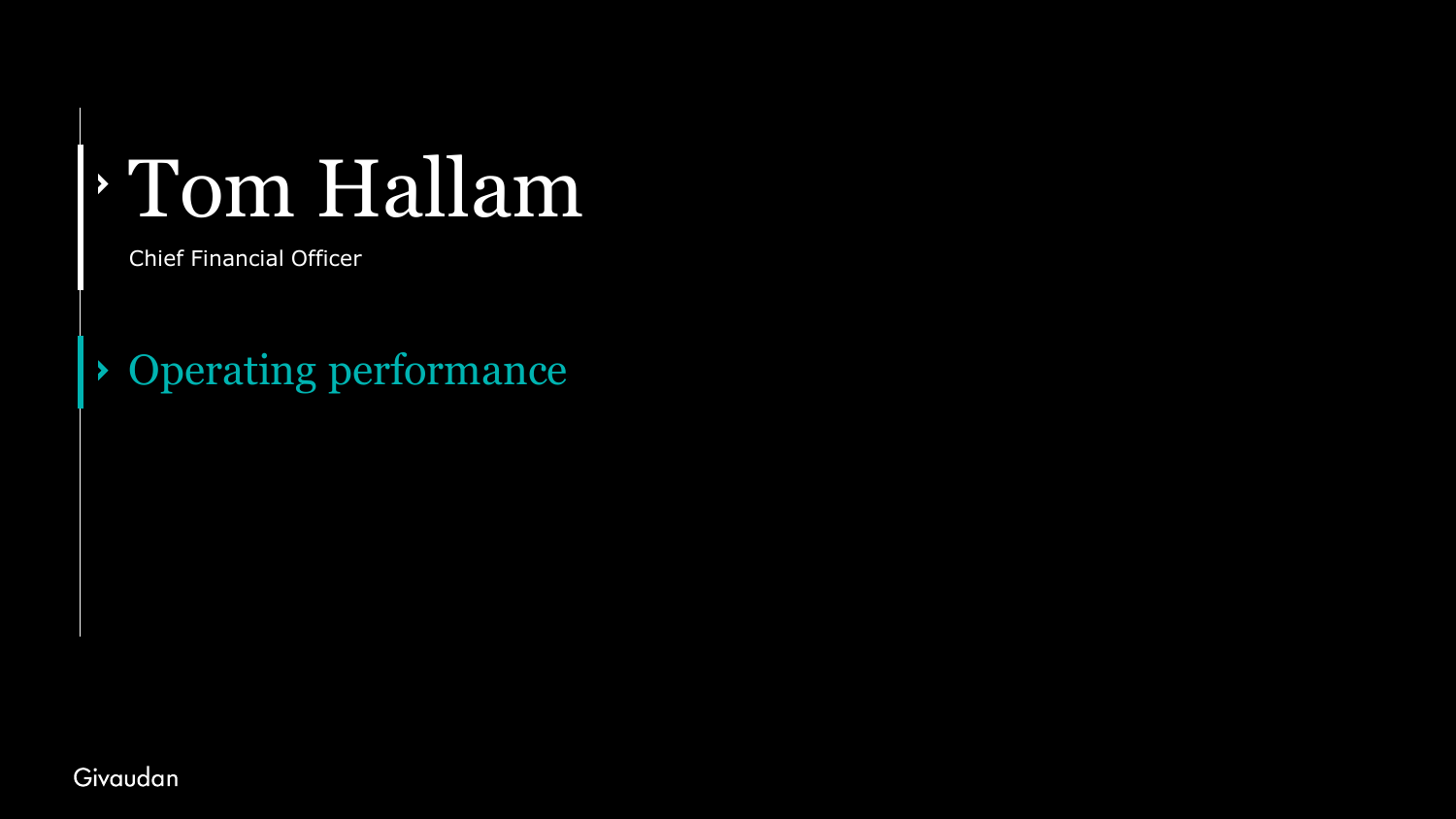# Tom Hallam

Chief Financial Officer

Operating performance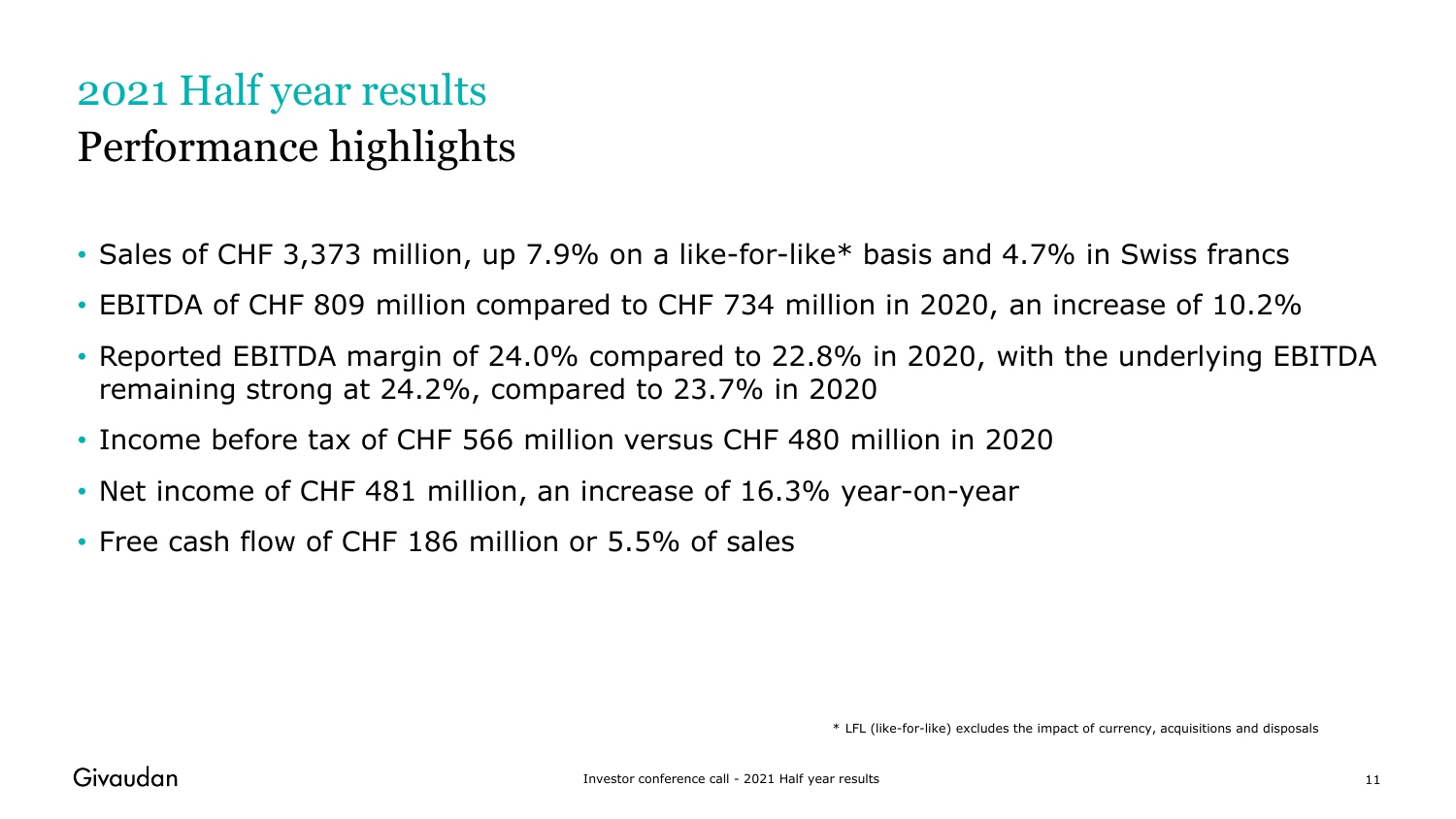### 2021 Half year results Performance highlights

- Sales of CHF 3,373 million, up 7.9% on a like-for-like\* basis and 4.7% in Swiss francs
- EBITDA of CHF 809 million compared to CHF 734 million in 2020, an increase of 10.2%
- Reported EBITDA margin of 24.0% compared to 22.8% in 2020, with the underlying EBITDA remaining strong at 24.2%, compared to 23.7% in 2020
- Income before tax of CHF 566 million versus CHF 480 million in 2020
- Net income of CHF 481 million, an increase of 16.3% year-on-year
- Free cash flow of CHF 186 million or 5.5% of sales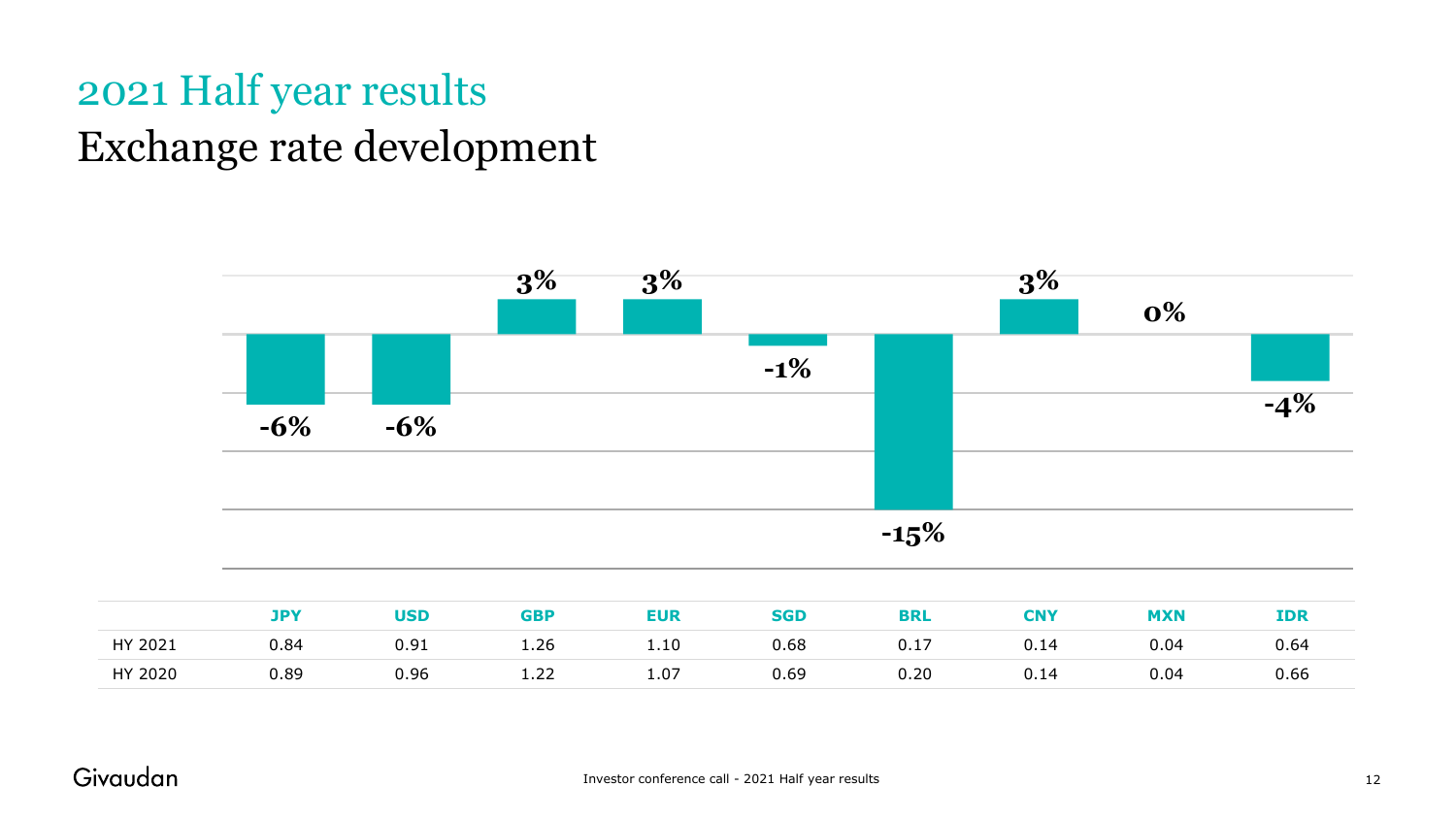### 2021 Half year results Exchange rate development



|         | <b>JPY</b> | <b>USD</b> | <b>GBP</b> | EUR  | <b>SGD</b> | <b>BRL</b> | <b>CNY</b> | <b>MXN</b> | <b>IDR</b> |
|---------|------------|------------|------------|------|------------|------------|------------|------------|------------|
| HY 2021 | 0.84       | 0.91       | 1.26       | 1.10 | 0.68       | 0.17       | 0.14       | 0.04       | 0.64       |
| HY 2020 | 0.89       | 0.96       | 1.22       | 1.07 | 0.69       | 0.20       | 0.14       | 0.04       | 0.66       |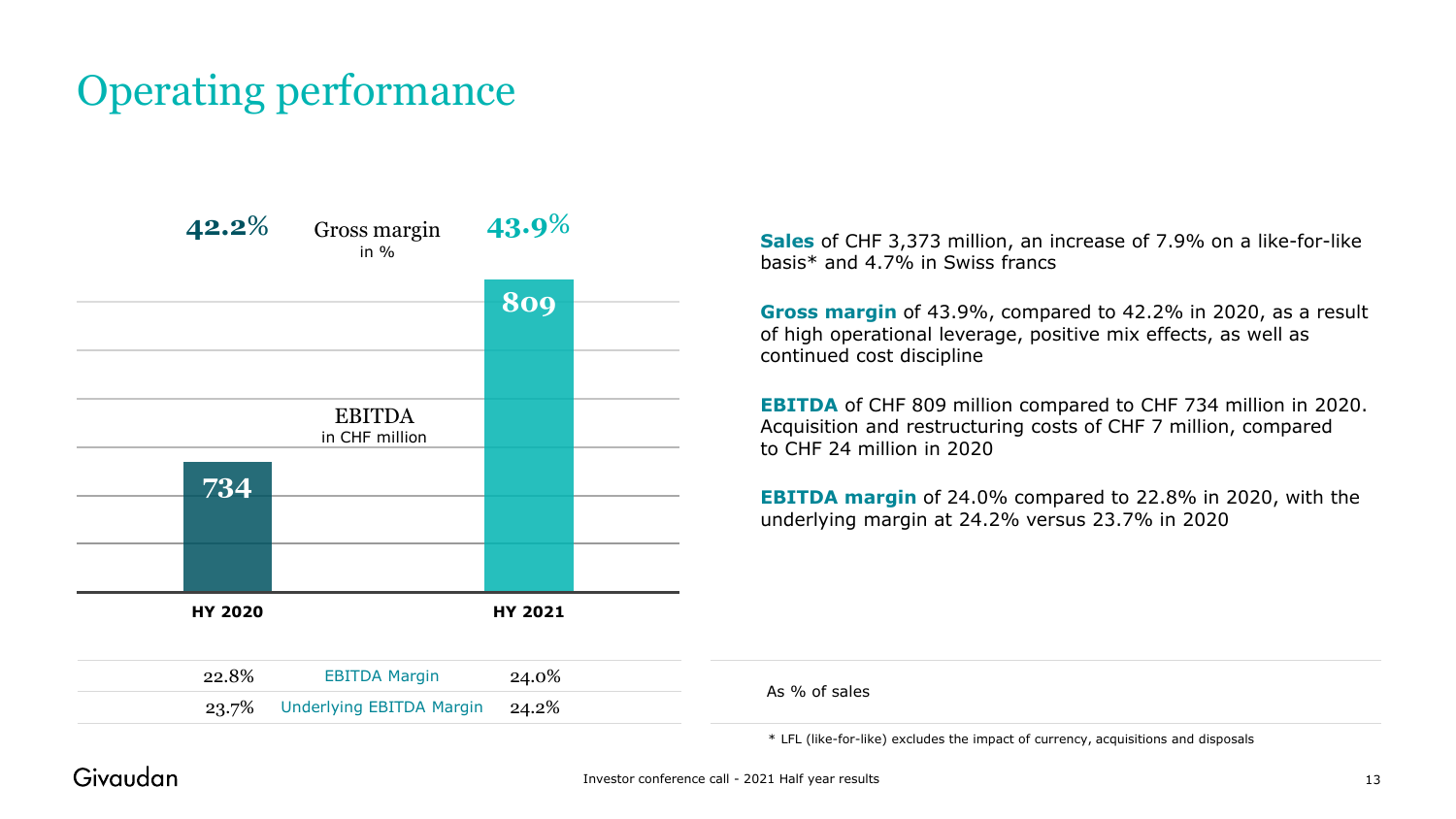### Operating performance



**Sales** of CHF 3,373 million, an increase of 7.9% on a like-for-like basis\* and 4.7% in Swiss francs

**Gross margin** of 43.9%, compared to 42.2% in 2020, as a result of high operational leverage, positive mix effects, as well as continued cost discipline

**EBITDA** of CHF 809 million compared to CHF 734 million in 2020. Acquisition and restructuring costs of CHF 7 million, compared to CHF 24 million in 2020

**EBITDA margin** of 24.0% compared to 22.8% in 2020, with the underlying margin at 24.2% versus 23.7% in 2020

\* LFL (like-for-like) excludes the impact of currency, acquisitions and disposals

#### Givaudan

As % of sales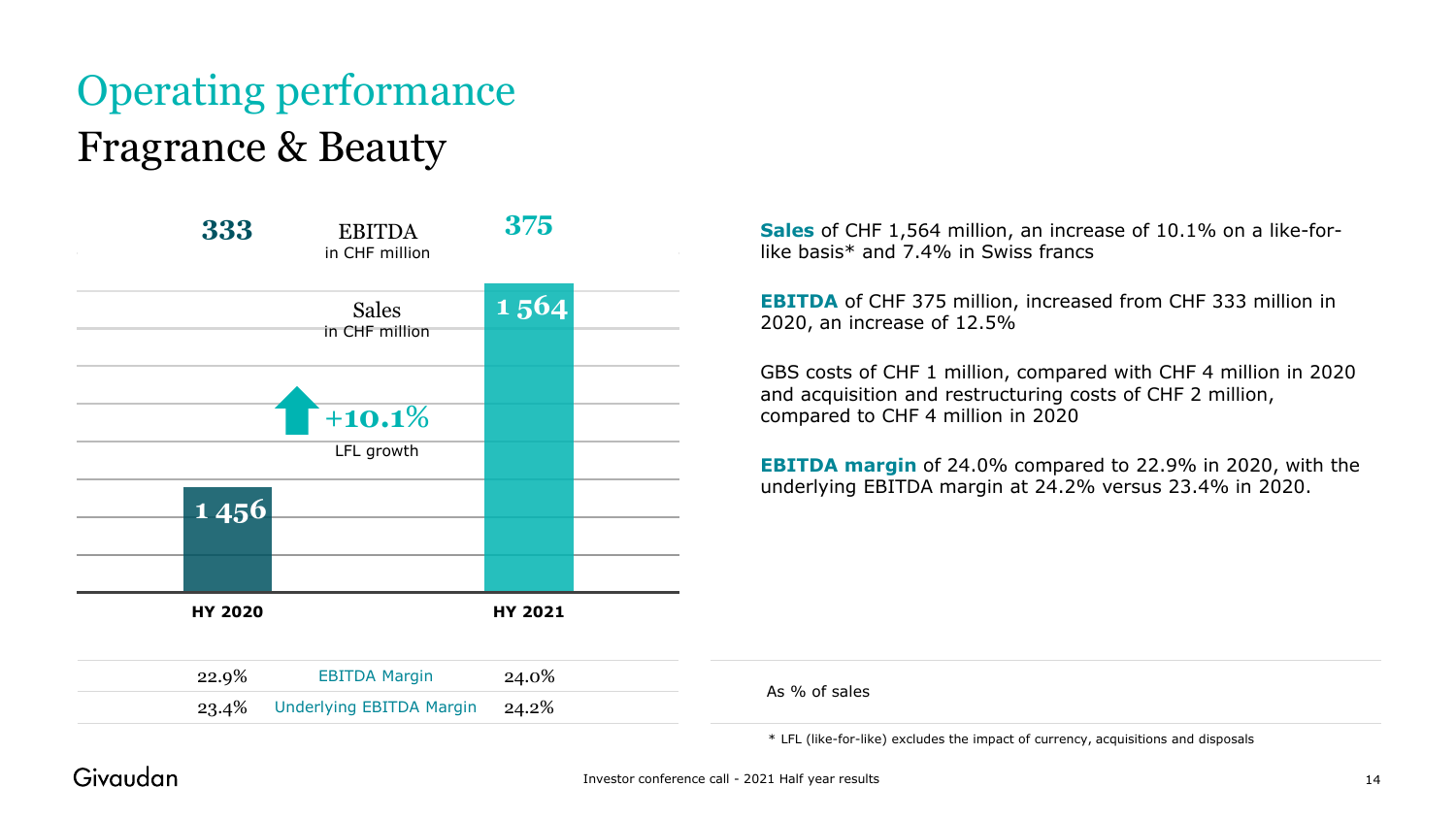## Operating performance Fragrance & Beauty



**Sales** of CHF 1,564 million, an increase of 10.1% on a like-forlike basis\* and 7.4% in Swiss francs

**EBITDA** of CHF 375 million, increased from CHF 333 million in 2020, an increase of 12.5%

GBS costs of CHF 1 million, compared with CHF 4 million in 2020 and acquisition and restructuring costs of CHF 2 million, compared to CHF 4 million in 2020

**EBITDA margin** of 24.0% compared to 22.9% in 2020, with the underlying EBITDA margin at 24.2% versus 23.4% in 2020.

As % of sales

\* LFL (like-for-like) excludes the impact of currency, acquisitions and disposals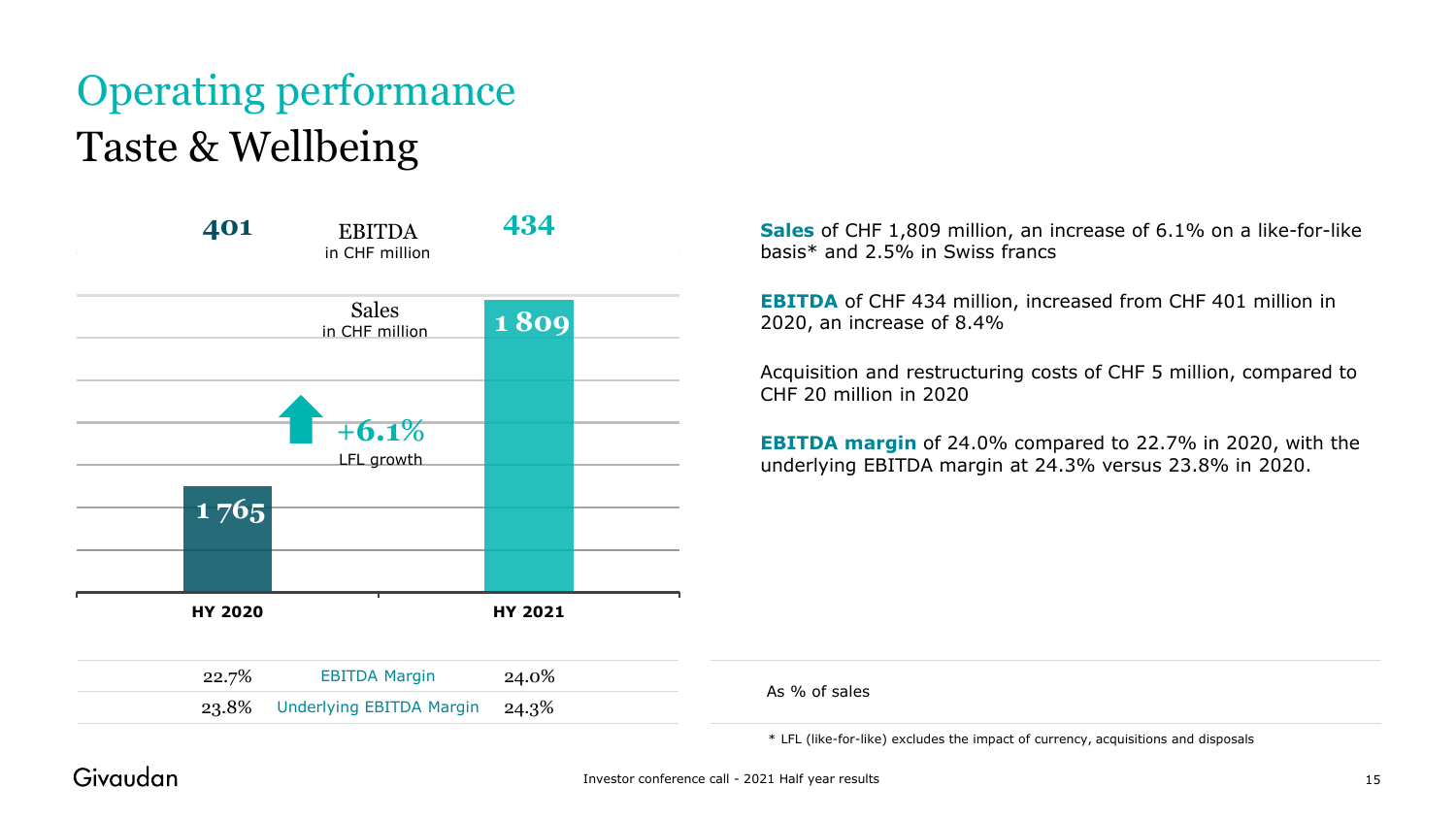## Operating performance Taste & Wellbeing



**Sales** of CHF 1,809 million, an increase of 6.1% on a like-for-like basis\* and 2.5% in Swiss francs

**EBITDA** of CHF 434 million, increased from CHF 401 million in 2020, an increase of 8.4%

Acquisition and restructuring costs of CHF 5 million, compared to CHF 20 million in 2020

**EBITDA margin** of 24.0% compared to 22.7% in 2020, with the underlying EBITDA margin at 24.3% versus 23.8% in 2020.

| 22.7% | <b>EBITDA Margin</b><br>24.0%        |
|-------|--------------------------------------|
|       | 23.8% Underlying EBITDA Margin 24.3% |

\* LFL (like-for-like) excludes the impact of currency, acquisitions and disposals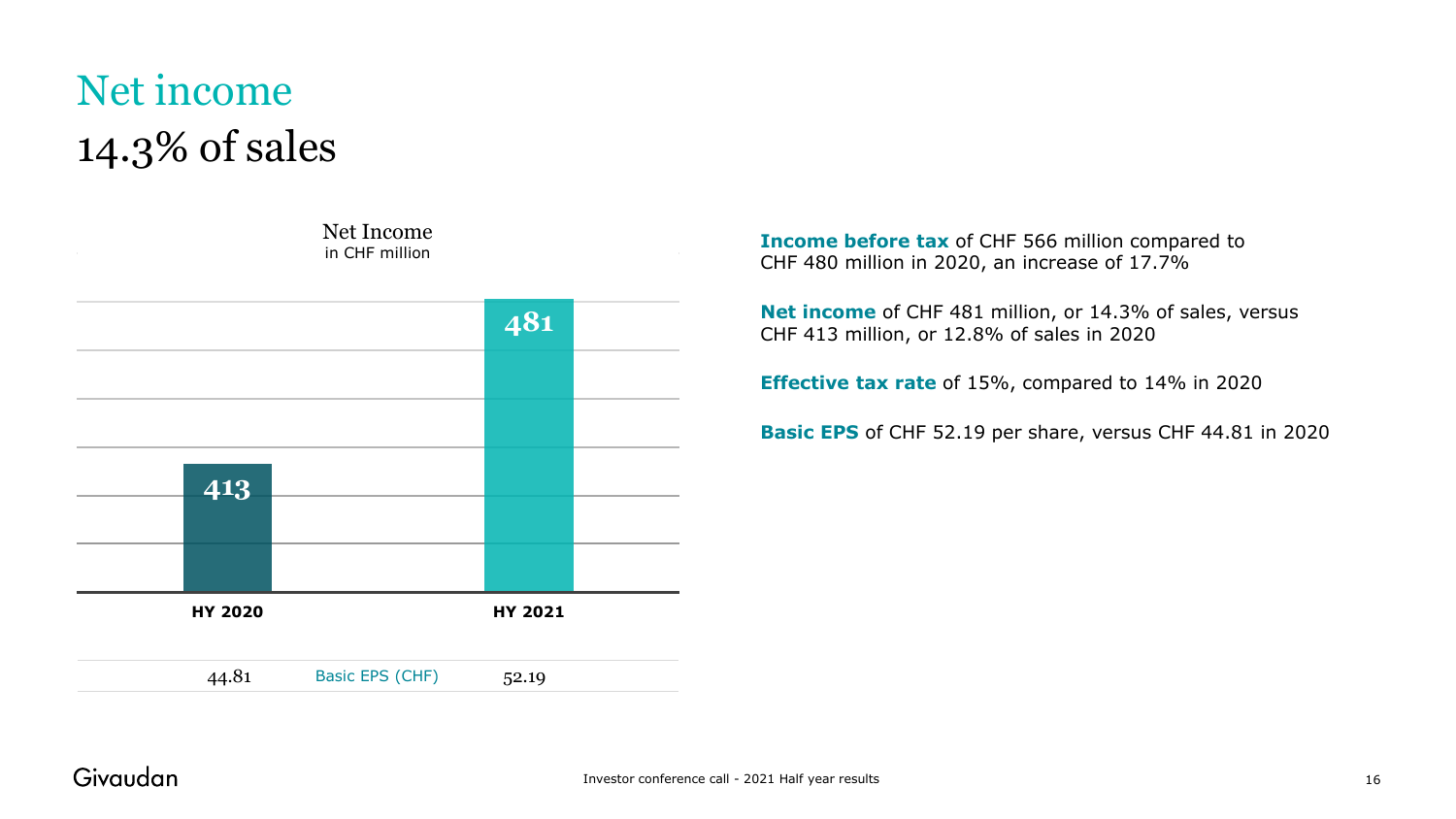### Net income 14.3% of sales



**Income before tax** of CHF 566 million compared to CHF 480 million in 2020, an increase of 17.7%

**Net income** of CHF 481 million, or 14.3% of sales, versus CHF 413 million, or 12.8% of sales in 2020

**Effective tax rate** of 15%, compared to 14% in 2020

**Basic EPS** of CHF 52.19 per share, versus CHF 44.81 in 2020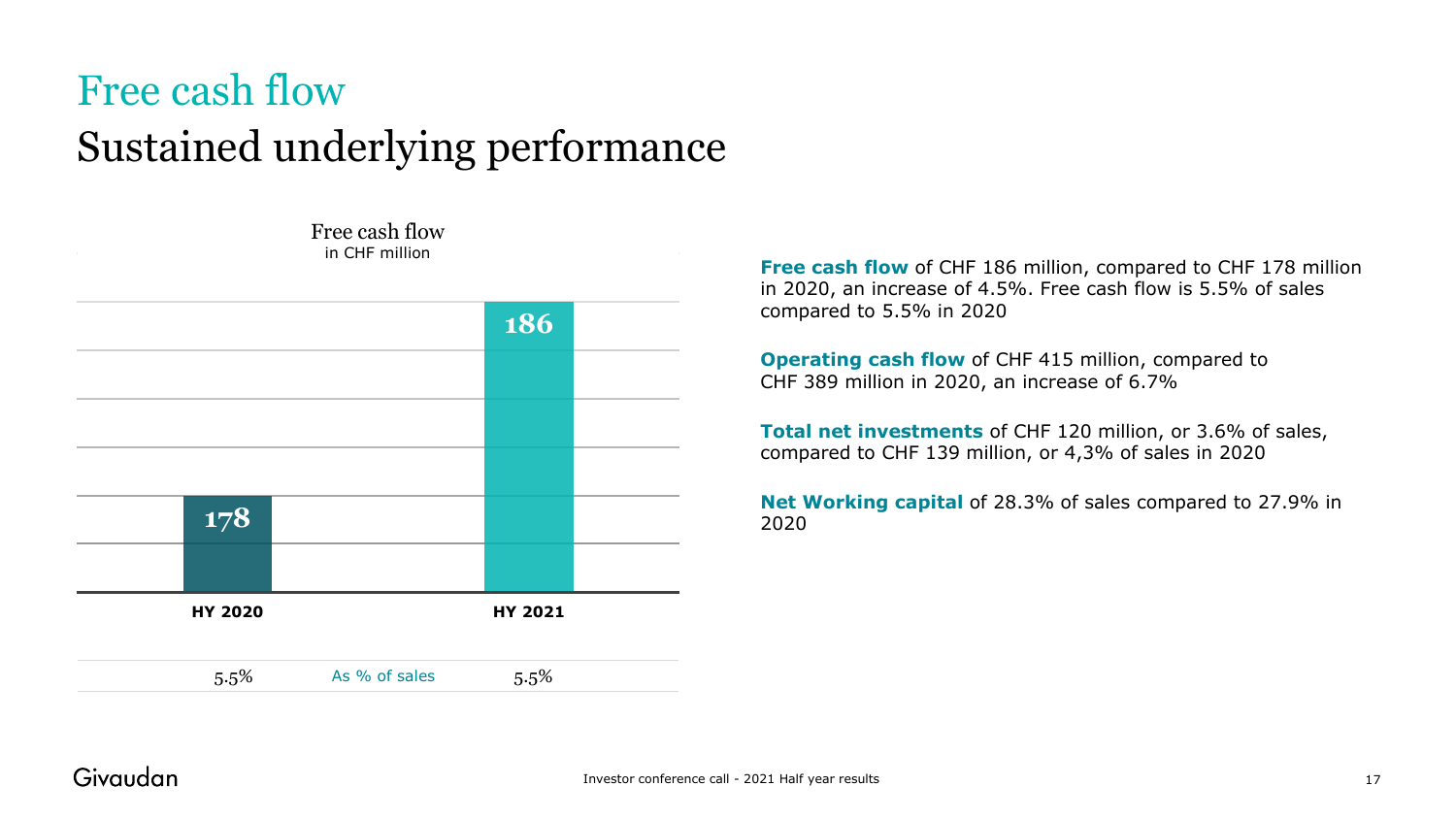### Free cash flow Sustained underlying performance



**Free cash flow** of CHF 186 million, compared to CHF 178 million in 2020, an increase of 4.5%. Free cash flow is 5.5% of sales compared to 5.5% in 2020

**Operating cash flow** of CHF 415 million, compared to CHF 389 million in 2020, an increase of 6.7%

**Total net investments** of CHF 120 million, or 3.6% of sales, compared to CHF 139 million, or 4,3% of sales in 2020

**Net Working capital** of 28.3% of sales compared to 27.9% in 2020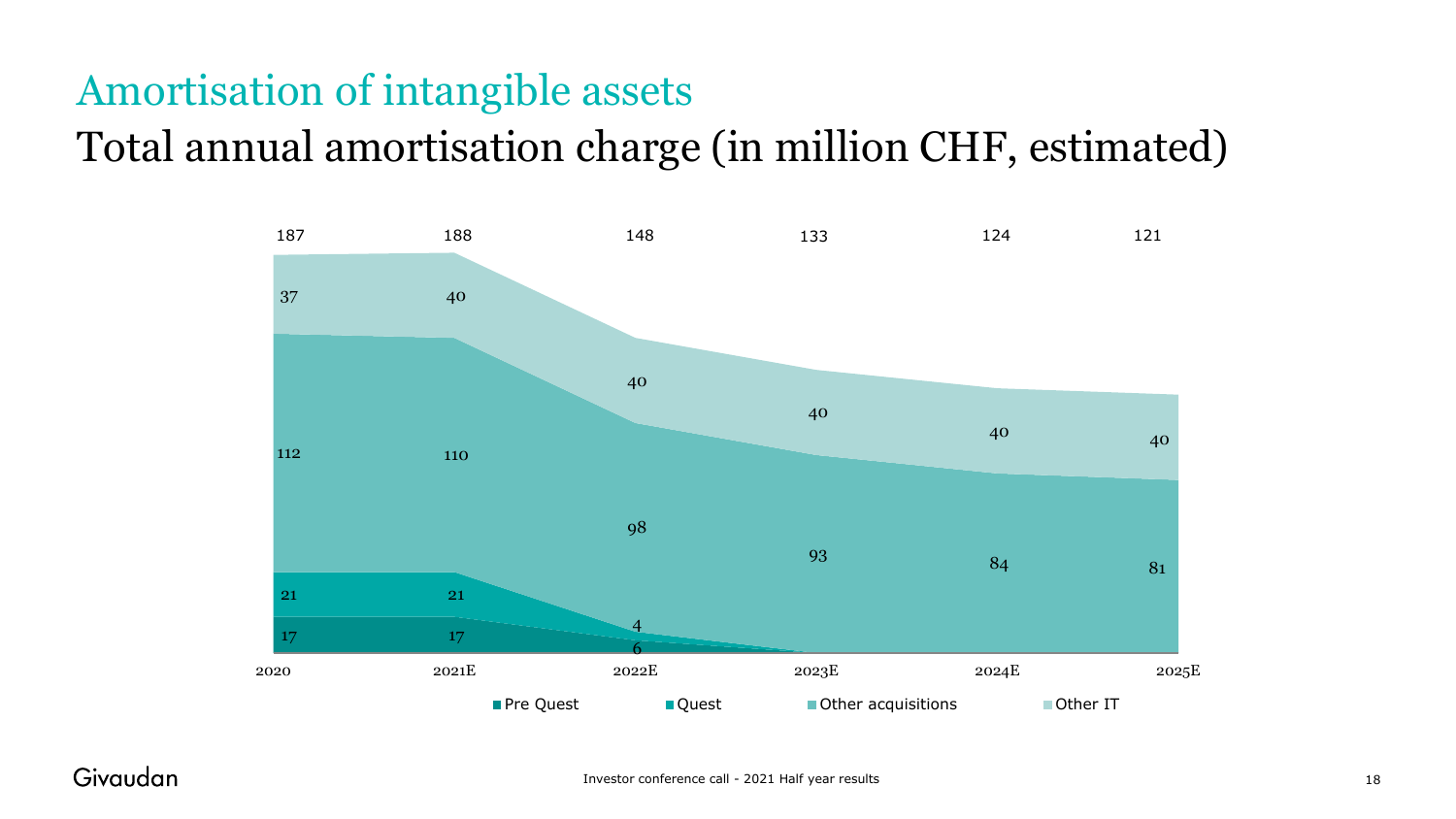### Amortisation of intangible assets

### Total annual amortisation charge (in million CHF, estimated)

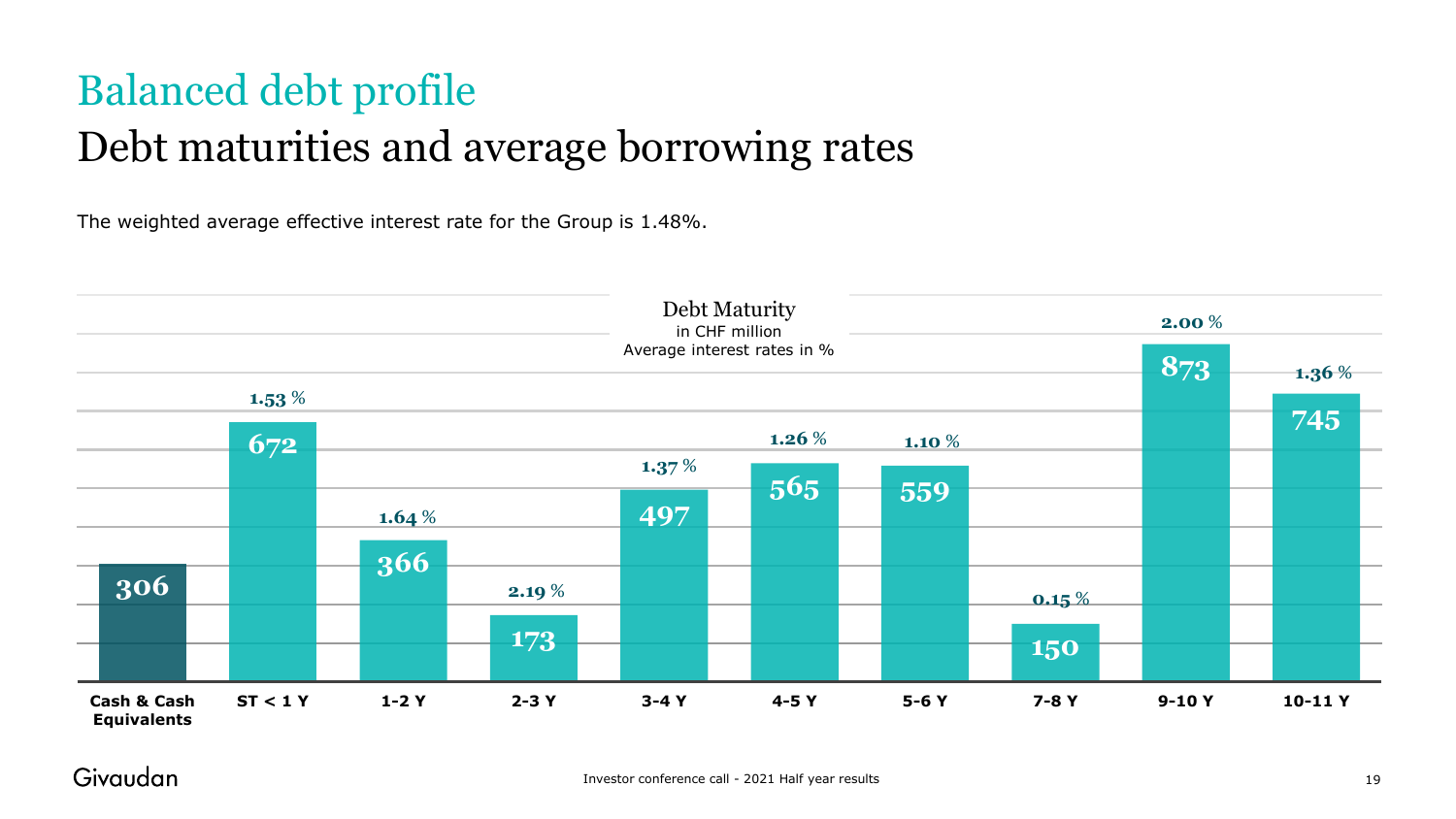## Balanced debt profile Debt maturities and average borrowing rates

The weighted average effective interest rate for the Group is 1.48%.

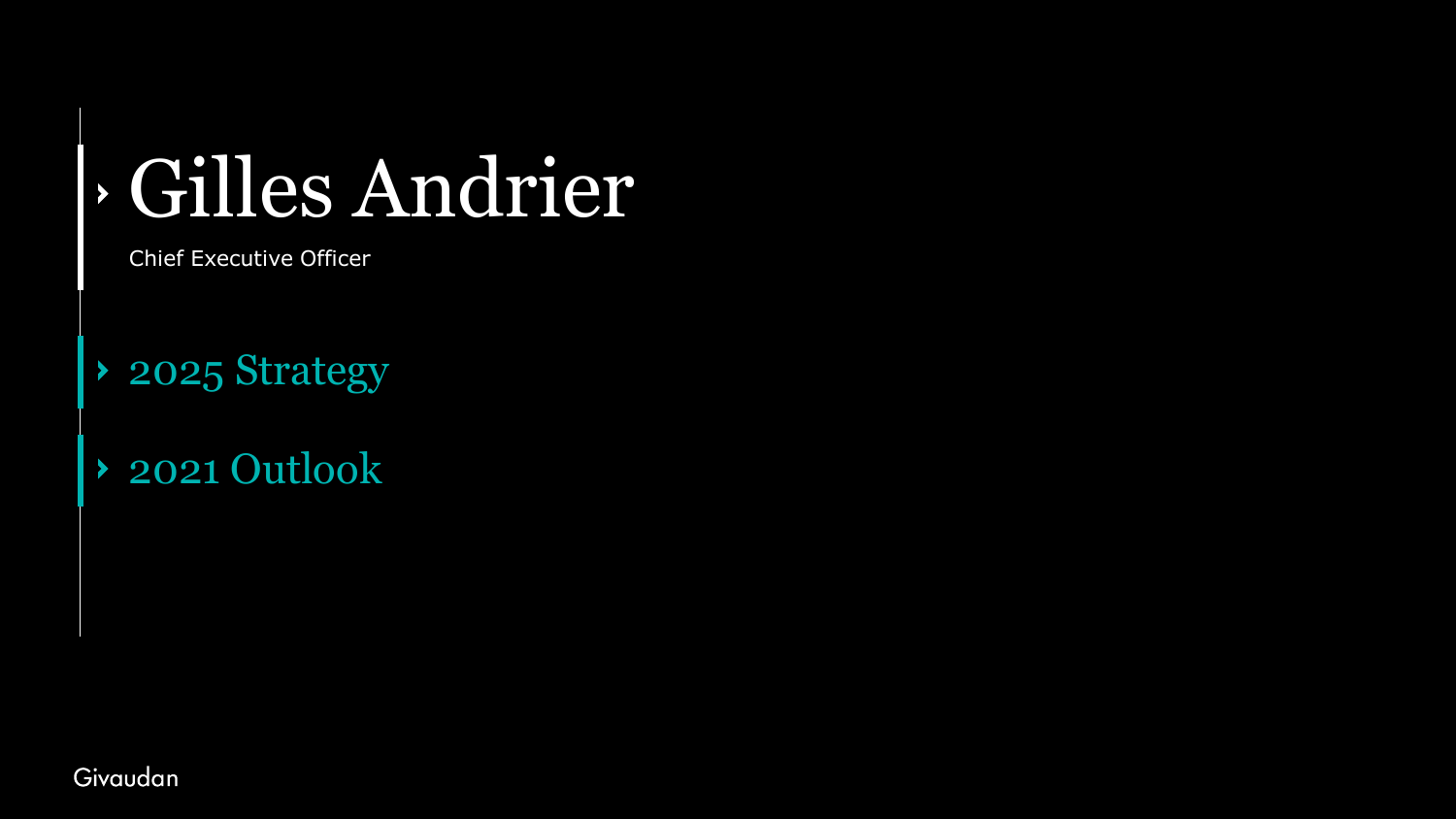# Gilles Andrier

Chief Executive Officer

- ◆ 2025 Strategy
- 2021 Outlook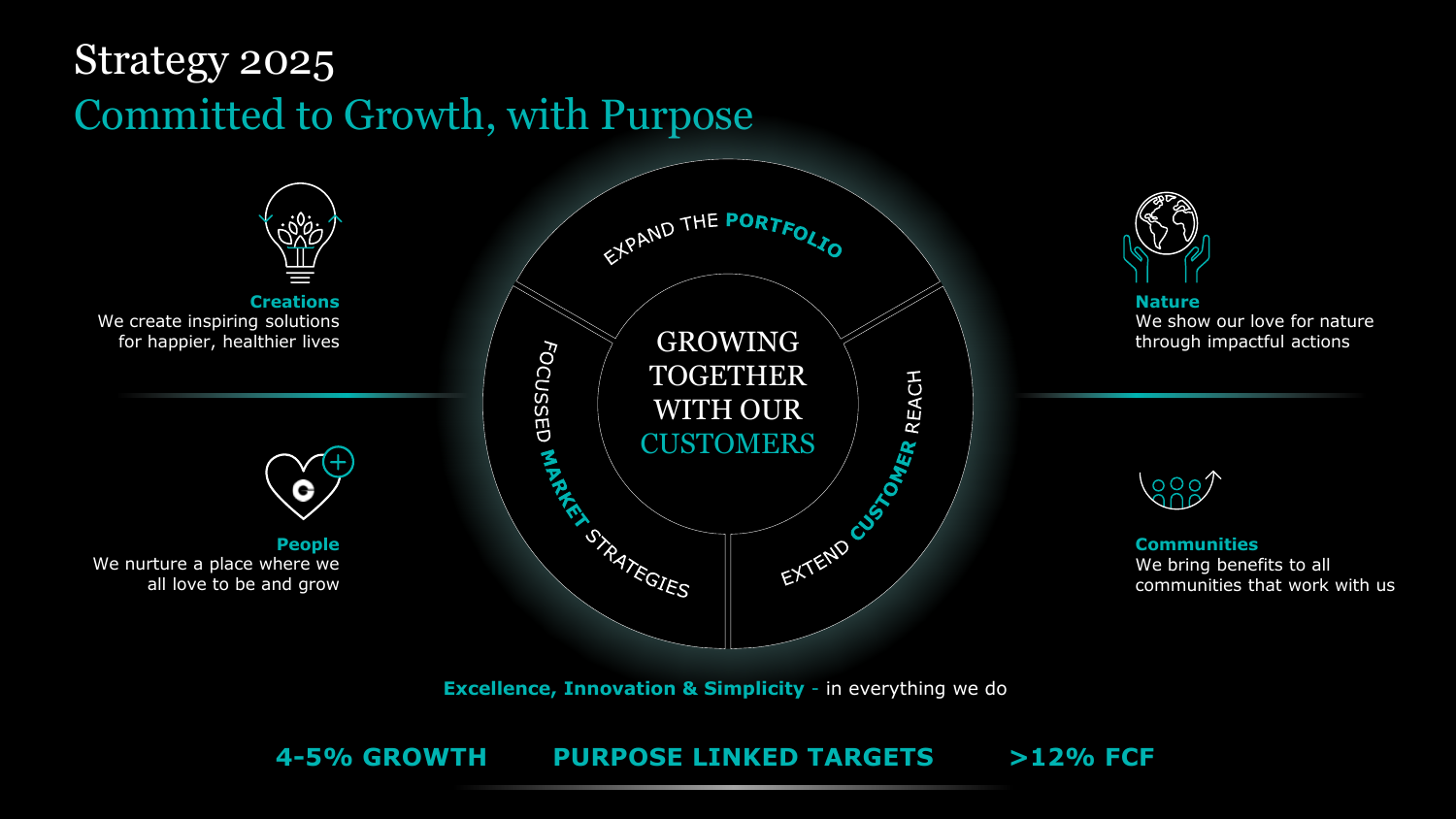### Strategy 2025 Committed to Growth, with Purpose





**Nature** We show our love for nature through impactful actions



**Communities** We bring benefits to all communities that work with us

**Excellence, Innovation & Simplicity** - in everything we do

### **4-5% GROWTH PURPOSE LINKED TARGETS >12% FCF**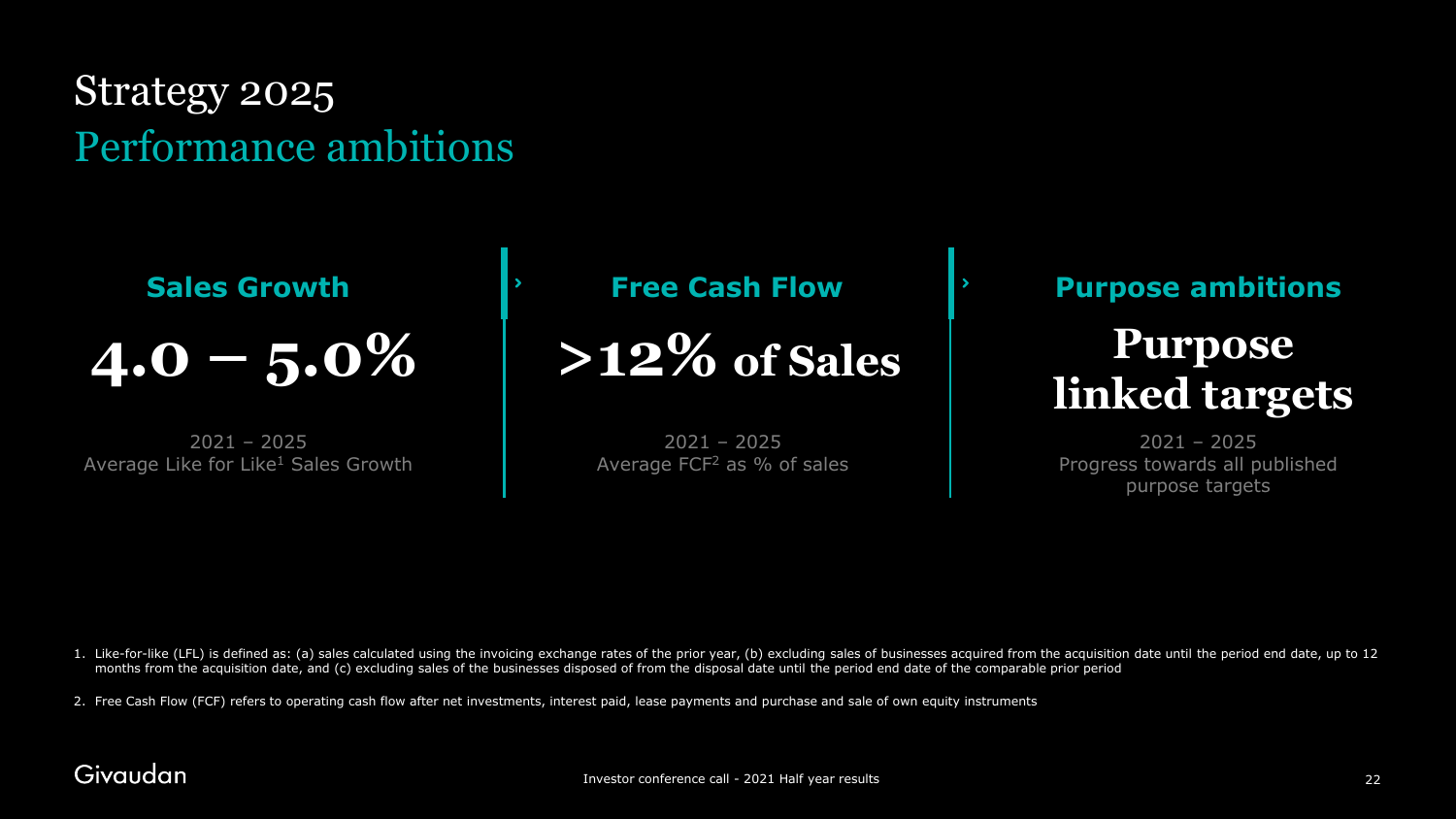### Strategy 2025 Performance ambitions

 $4.0 - 5.0\%$ 

2021 – 2025 Average Like for Like<sup>1</sup> Sales Growth

**Sales Growth Figure 1.1 Free Cash Flow** 

2021 – 2025 Average FCF2 as % of sales

### **Purpose ambitions**

# **>12% of Sales Purpose**

2021 – 2025 Progress towards all published purpose targets

1. Like-for-like (LFL) is defined as: (a) sales calculated using the invoicing exchange rates of the prior year, (b) excluding sales of businesses acquired from the acquisition date until the period end date, up to 12 months from the acquisition date, and (c) excluding sales of the businesses disposed of from the disposal date until the period end date of the comparable prior period

2. Free Cash Flow (FCF) refers to operating cash flow after net investments, interest paid, lease payments and purchase and sale of own equity instruments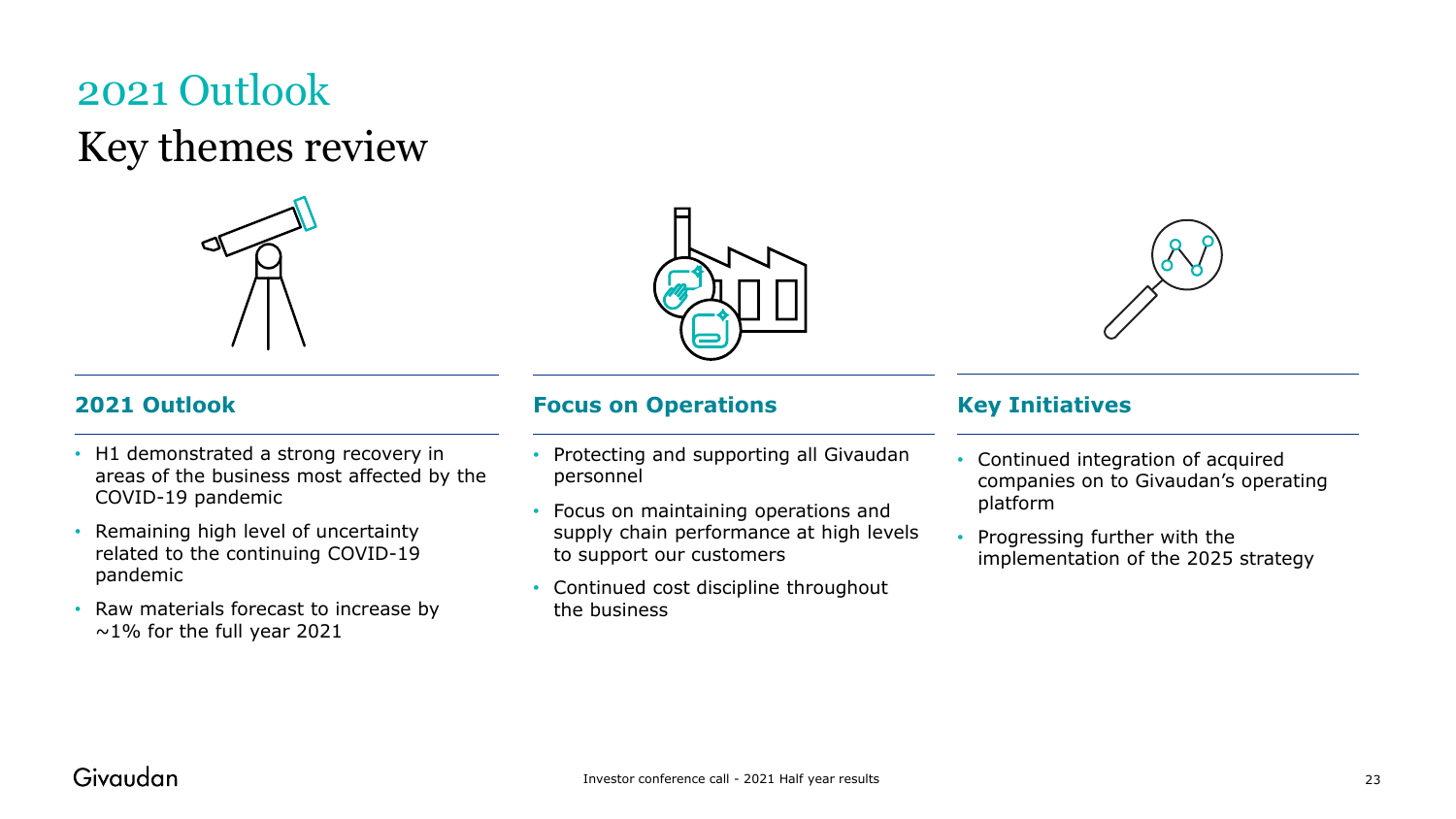### 2021 Outlook Key themes review



- H1 demonstrated a strong recovery in areas of the business most affected by the COVID-19 pandemic
- Remaining high level of uncertainty related to the continuing COVID-19 pandemic
- Raw materials forecast to increase by  $\sim$ 1% for the full year 2021





#### **2021 Outlook Focus on Operations Key Initiatives**

- Protecting and supporting all Givaudan personnel
- Focus on maintaining operations and supply chain performance at high levels to support our customers
- Continued cost discipline throughout the business

- Continued integration of acquired companies on to Givaudan's operating platform
- Progressing further with the implementation of the 2025 strategy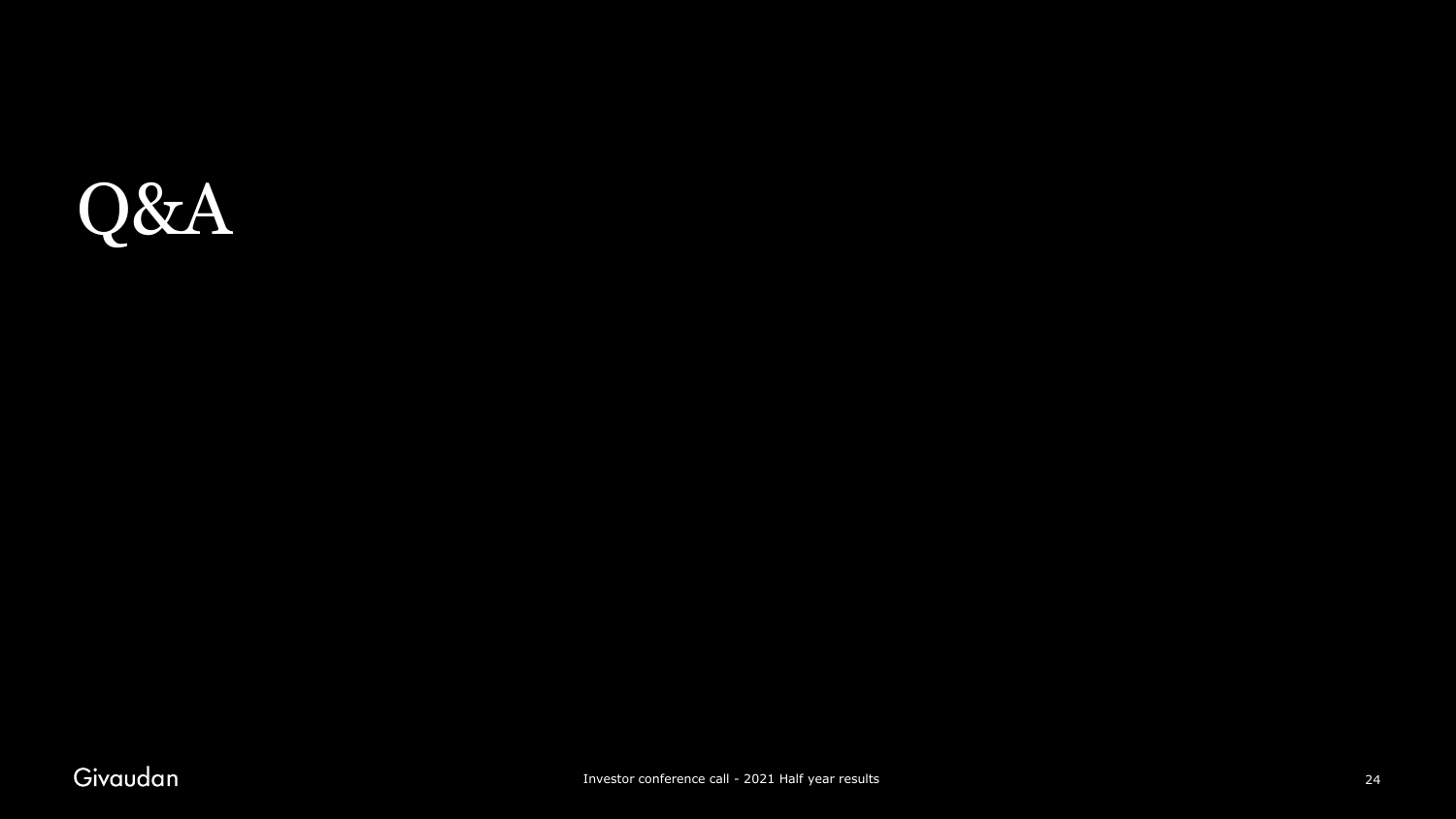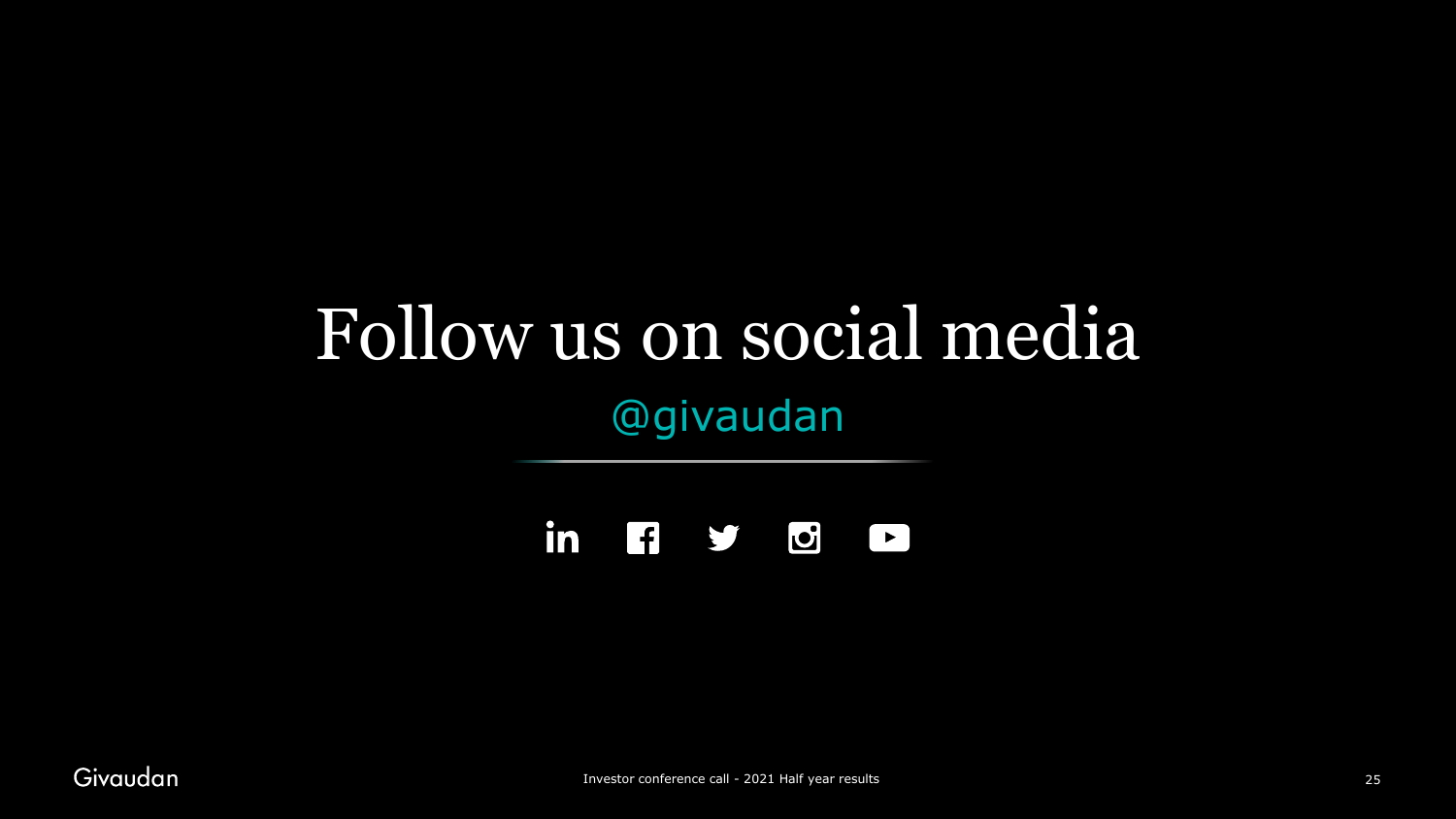## Follow us on social media @givaudan

in  $f$   $f$   $f$   $f$